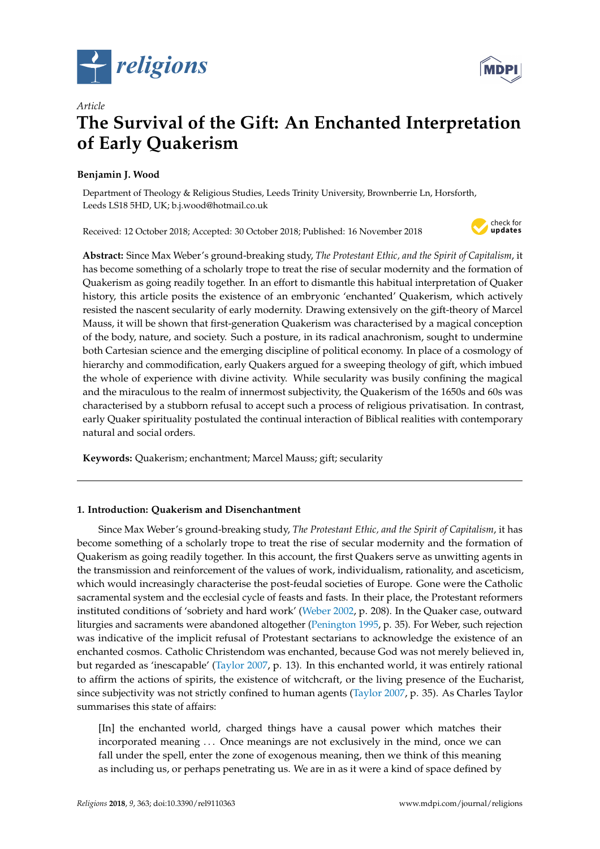



# *Article* **The Survival of the Gift: An Enchanted Interpretation of Early Quakerism**

# **Benjamin J. Wood**

Department of Theology & Religious Studies, Leeds Trinity University, Brownberrie Ln, Horsforth, Leeds LS18 5HD, UK; b.j.wood@hotmail.co.uk

Received: 12 October 2018; Accepted: 30 October 2018; Published: 16 November 2018



**Abstract:** Since Max Weber's ground-breaking study, *The Protestant Ethic, and the Spirit of Capitalism*, it has become something of a scholarly trope to treat the rise of secular modernity and the formation of Quakerism as going readily together. In an effort to dismantle this habitual interpretation of Quaker history, this article posits the existence of an embryonic 'enchanted' Quakerism, which actively resisted the nascent secularity of early modernity. Drawing extensively on the gift-theory of Marcel Mauss, it will be shown that first-generation Quakerism was characterised by a magical conception of the body, nature, and society. Such a posture, in its radical anachronism, sought to undermine both Cartesian science and the emerging discipline of political economy. In place of a cosmology of hierarchy and commodification, early Quakers argued for a sweeping theology of gift, which imbued the whole of experience with divine activity. While secularity was busily confining the magical and the miraculous to the realm of innermost subjectivity, the Quakerism of the 1650s and 60s was characterised by a stubborn refusal to accept such a process of religious privatisation. In contrast, early Quaker spirituality postulated the continual interaction of Biblical realities with contemporary natural and social orders.

**Keywords:** Quakerism; enchantment; Marcel Mauss; gift; secularity

# **1. Introduction: Quakerism and Disenchantment**

Since Max Weber's ground-breaking study, *The Protestant Ethic, and the Spirit of Capitalism*, it has become something of a scholarly trope to treat the rise of secular modernity and the formation of Quakerism as going readily together. In this account, the first Quakers serve as unwitting agents in the transmission and reinforcement of the values of work, individualism, rationality, and asceticism, which would increasingly characterise the post-feudal societies of Europe. Gone were the Catholic sacramental system and the ecclesial cycle of feasts and fasts. In their place, the Protestant reformers instituted conditions of 'sobriety and hard work' [\(Weber](#page-19-0) [2002,](#page-19-0) p. 208). In the Quaker case, outward liturgies and sacraments were abandoned altogether [\(Penington](#page-19-1) [1995,](#page-19-1) p. 35). For Weber, such rejection was indicative of the implicit refusal of Protestant sectarians to acknowledge the existence of an enchanted cosmos. Catholic Christendom was enchanted, because God was not merely believed in, but regarded as 'inescapable' [\(Taylor](#page-19-2) [2007,](#page-19-2) p. 13). In this enchanted world, it was entirely rational to affirm the actions of spirits, the existence of witchcraft, or the living presence of the Eucharist, since subjectivity was not strictly confined to human agents [\(Taylor](#page-19-2) [2007,](#page-19-2) p. 35). As Charles Taylor summarises this state of affairs:

[In] the enchanted world, charged things have a causal power which matches their incorporated meaning . . . Once meanings are not exclusively in the mind, once we can fall under the spell, enter the zone of exogenous meaning, then we think of this meaning as including us, or perhaps penetrating us. We are in as it were a kind of space defined by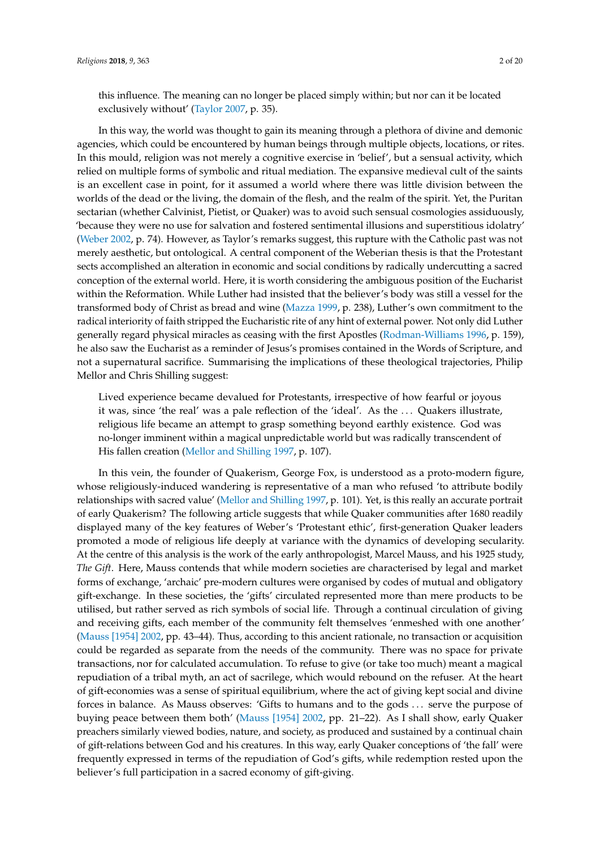this influence. The meaning can no longer be placed simply within; but nor can it be located exclusively without' [\(Taylor](#page-19-2) [2007,](#page-19-2) p. 35).

In this way, the world was thought to gain its meaning through a plethora of divine and demonic agencies, which could be encountered by human beings through multiple objects, locations, or rites. In this mould, religion was not merely a cognitive exercise in 'belief', but a sensual activity, which relied on multiple forms of symbolic and ritual mediation. The expansive medieval cult of the saints is an excellent case in point, for it assumed a world where there was little division between the worlds of the dead or the living, the domain of the flesh, and the realm of the spirit. Yet, the Puritan sectarian (whether Calvinist, Pietist, or Quaker) was to avoid such sensual cosmologies assiduously, 'because they were no use for salvation and fostered sentimental illusions and superstitious idolatry' [\(Weber](#page-19-0) [2002,](#page-19-0) p. 74). However, as Taylor's remarks suggest, this rupture with the Catholic past was not merely aesthetic, but ontological. A central component of the Weberian thesis is that the Protestant sects accomplished an alteration in economic and social conditions by radically undercutting a sacred conception of the external world. Here, it is worth considering the ambiguous position of the Eucharist within the Reformation. While Luther had insisted that the believer's body was still a vessel for the transformed body of Christ as bread and wine [\(Mazza](#page-19-3) [1999,](#page-19-3) p. 238), Luther's own commitment to the radical interiority of faith stripped the Eucharistic rite of any hint of external power. Not only did Luther generally regard physical miracles as ceasing with the first Apostles [\(Rodman-Williams](#page-19-4) [1996,](#page-19-4) p. 159), he also saw the Eucharist as a reminder of Jesus's promises contained in the Words of Scripture, and not a supernatural sacrifice. Summarising the implications of these theological trajectories, Philip Mellor and Chris Shilling suggest:

Lived experience became devalued for Protestants, irrespective of how fearful or joyous it was, since 'the real' was a pale reflection of the 'ideal'. As the . . . Quakers illustrate, religious life became an attempt to grasp something beyond earthly existence. God was no-longer imminent within a magical unpredictable world but was radically transcendent of His fallen creation [\(Mellor and Shilling](#page-19-5) [1997,](#page-19-5) p. 107).

In this vein, the founder of Quakerism, George Fox, is understood as a proto-modern figure, whose religiously-induced wandering is representative of a man who refused 'to attribute bodily relationships with sacred value' [\(Mellor and Shilling](#page-19-5) [1997,](#page-19-5) p. 101). Yet, is this really an accurate portrait of early Quakerism? The following article suggests that while Quaker communities after 1680 readily displayed many of the key features of Weber's 'Protestant ethic', first-generation Quaker leaders promoted a mode of religious life deeply at variance with the dynamics of developing secularity. At the centre of this analysis is the work of the early anthropologist, Marcel Mauss, and his 1925 study, *The Gift*. Here, Mauss contends that while modern societies are characterised by legal and market forms of exchange, 'archaic' pre-modern cultures were organised by codes of mutual and obligatory gift-exchange. In these societies, the 'gifts' circulated represented more than mere products to be utilised, but rather served as rich symbols of social life. Through a continual circulation of giving and receiving gifts, each member of the community felt themselves 'enmeshed with one another' [\(Mauss \[1954\]](#page-19-6) [2002,](#page-19-6) pp. 43–44). Thus, according to this ancient rationale, no transaction or acquisition could be regarded as separate from the needs of the community. There was no space for private transactions, nor for calculated accumulation. To refuse to give (or take too much) meant a magical repudiation of a tribal myth, an act of sacrilege, which would rebound on the refuser. At the heart of gift-economies was a sense of spiritual equilibrium, where the act of giving kept social and divine forces in balance. As Mauss observes: 'Gifts to humans and to the gods . . . serve the purpose of buying peace between them both' [\(Mauss](#page-19-6) [1954] [2002,](#page-19-6) pp. 21–22). As I shall show, early Quaker preachers similarly viewed bodies, nature, and society, as produced and sustained by a continual chain of gift-relations between God and his creatures. In this way, early Quaker conceptions of 'the fall' were frequently expressed in terms of the repudiation of God's gifts, while redemption rested upon the believer's full participation in a sacred economy of gift-giving.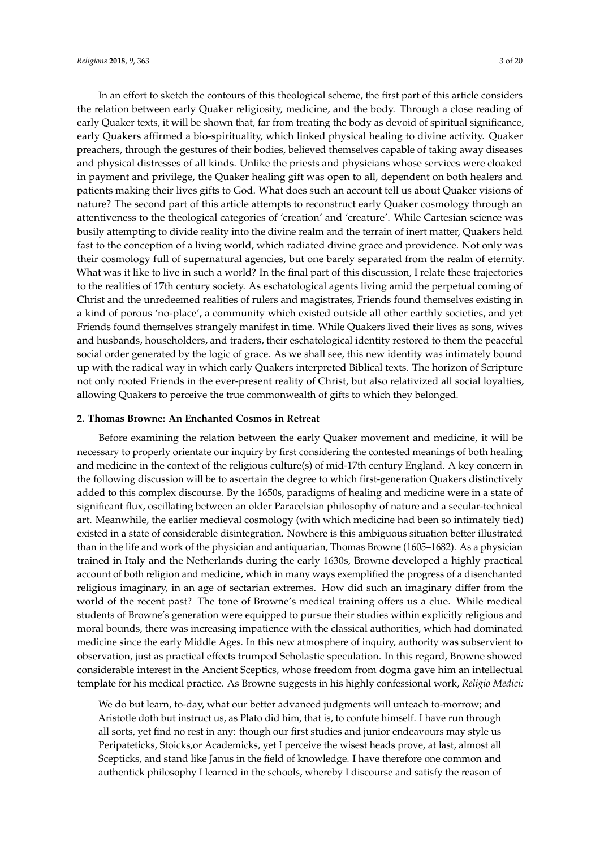In an effort to sketch the contours of this theological scheme, the first part of this article considers the relation between early Quaker religiosity, medicine, and the body. Through a close reading of early Quaker texts, it will be shown that, far from treating the body as devoid of spiritual significance, early Quakers affirmed a bio-spirituality, which linked physical healing to divine activity. Quaker preachers, through the gestures of their bodies, believed themselves capable of taking away diseases and physical distresses of all kinds. Unlike the priests and physicians whose services were cloaked in payment and privilege, the Quaker healing gift was open to all, dependent on both healers and patients making their lives gifts to God. What does such an account tell us about Quaker visions of nature? The second part of this article attempts to reconstruct early Quaker cosmology through an attentiveness to the theological categories of 'creation' and 'creature'. While Cartesian science was busily attempting to divide reality into the divine realm and the terrain of inert matter, Quakers held fast to the conception of a living world, which radiated divine grace and providence. Not only was their cosmology full of supernatural agencies, but one barely separated from the realm of eternity. What was it like to live in such a world? In the final part of this discussion, I relate these trajectories to the realities of 17th century society. As eschatological agents living amid the perpetual coming of Christ and the unredeemed realities of rulers and magistrates, Friends found themselves existing in a kind of porous 'no-place', a community which existed outside all other earthly societies, and yet Friends found themselves strangely manifest in time. While Quakers lived their lives as sons, wives and husbands, householders, and traders, their eschatological identity restored to them the peaceful social order generated by the logic of grace. As we shall see, this new identity was intimately bound up with the radical way in which early Quakers interpreted Biblical texts. The horizon of Scripture not only rooted Friends in the ever-present reality of Christ, but also relativized all social loyalties, allowing Quakers to perceive the true commonwealth of gifts to which they belonged.

#### **2. Thomas Browne: An Enchanted Cosmos in Retreat**

Before examining the relation between the early Quaker movement and medicine, it will be necessary to properly orientate our inquiry by first considering the contested meanings of both healing and medicine in the context of the religious culture(s) of mid-17th century England. A key concern in the following discussion will be to ascertain the degree to which first-generation Quakers distinctively added to this complex discourse. By the 1650s, paradigms of healing and medicine were in a state of significant flux, oscillating between an older Paracelsian philosophy of nature and a secular-technical art. Meanwhile, the earlier medieval cosmology (with which medicine had been so intimately tied) existed in a state of considerable disintegration. Nowhere is this ambiguous situation better illustrated than in the life and work of the physician and antiquarian, Thomas Browne (1605–1682). As a physician trained in Italy and the Netherlands during the early 1630s, Browne developed a highly practical account of both religion and medicine, which in many ways exemplified the progress of a disenchanted religious imaginary, in an age of sectarian extremes. How did such an imaginary differ from the world of the recent past? The tone of Browne's medical training offers us a clue. While medical students of Browne's generation were equipped to pursue their studies within explicitly religious and moral bounds, there was increasing impatience with the classical authorities, which had dominated medicine since the early Middle Ages. In this new atmosphere of inquiry, authority was subservient to observation, just as practical effects trumped Scholastic speculation. In this regard, Browne showed considerable interest in the Ancient Sceptics, whose freedom from dogma gave him an intellectual template for his medical practice. As Browne suggests in his highly confessional work, *Religio Medici:*

We do but learn, to-day, what our better advanced judgments will unteach to-morrow; and Aristotle doth but instruct us, as Plato did him, that is, to confute himself. I have run through all sorts, yet find no rest in any: though our first studies and junior endeavours may style us Peripateticks, Stoicks,or Academicks, yet I perceive the wisest heads prove, at last, almost all Scepticks, and stand like Janus in the field of knowledge. I have therefore one common and authentick philosophy I learned in the schools, whereby I discourse and satisfy the reason of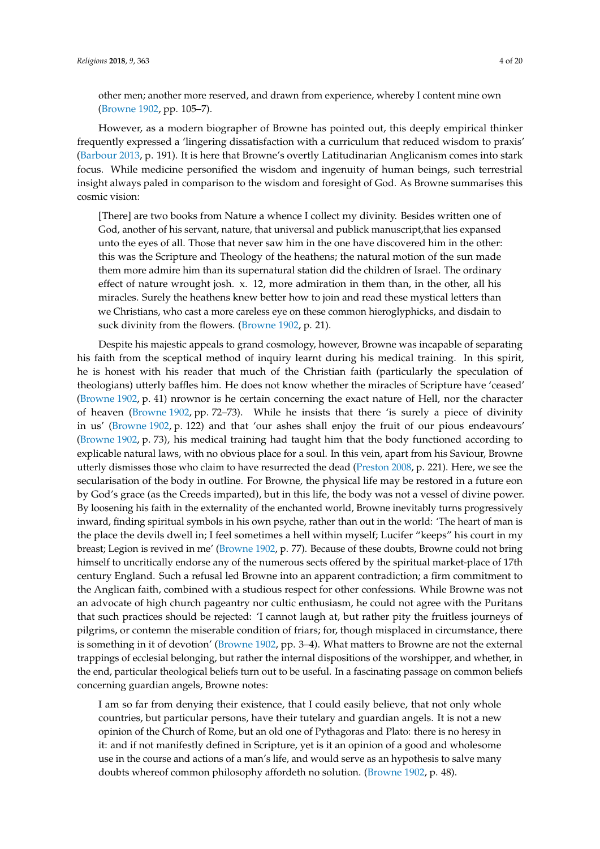other men; another more reserved, and drawn from experience, whereby I content mine own [\(Browne](#page-18-0) [1902,](#page-18-0) pp. 105–7).

However, as a modern biographer of Browne has pointed out, this deeply empirical thinker frequently expressed a 'lingering dissatisfaction with a curriculum that reduced wisdom to praxis' [\(Barbour](#page-18-1) [2013,](#page-18-1) p. 191). It is here that Browne's overtly Latitudinarian Anglicanism comes into stark focus. While medicine personified the wisdom and ingenuity of human beings, such terrestrial insight always paled in comparison to the wisdom and foresight of God. As Browne summarises this cosmic vision:

[There] are two books from Nature a whence I collect my divinity. Besides written one of God, another of his servant, nature, that universal and publick manuscript,that lies expansed unto the eyes of all. Those that never saw him in the one have discovered him in the other: this was the Scripture and Theology of the heathens; the natural motion of the sun made them more admire him than its supernatural station did the children of Israel. The ordinary effect of nature wrought josh. x. 12, more admiration in them than, in the other, all his miracles. Surely the heathens knew better how to join and read these mystical letters than we Christians, who cast a more careless eye on these common hieroglyphicks, and disdain to suck divinity from the flowers. [\(Browne](#page-18-0) [1902,](#page-18-0) p. 21).

Despite his majestic appeals to grand cosmology, however, Browne was incapable of separating his faith from the sceptical method of inquiry learnt during his medical training. In this spirit, he is honest with his reader that much of the Christian faith (particularly the speculation of theologians) utterly baffles him. He does not know whether the miracles of Scripture have 'ceased' [\(Browne](#page-18-0) [1902,](#page-18-0) p. 41) nrownor is he certain concerning the exact nature of Hell, nor the character of heaven [\(Browne](#page-18-0) [1902,](#page-18-0) pp. 72–73). While he insists that there 'is surely a piece of divinity in us' [\(Browne](#page-18-0) [1902,](#page-18-0) p. 122) and that 'our ashes shall enjoy the fruit of our pious endeavours' [\(Browne](#page-18-0) [1902,](#page-18-0) p. 73), his medical training had taught him that the body functioned according to explicable natural laws, with no obvious place for a soul. In this vein, apart from his Saviour, Browne utterly dismisses those who claim to have resurrected the dead [\(Preston](#page-19-7) [2008,](#page-19-7) p. 221). Here, we see the secularisation of the body in outline. For Browne, the physical life may be restored in a future eon by God's grace (as the Creeds imparted), but in this life, the body was not a vessel of divine power. By loosening his faith in the externality of the enchanted world, Browne inevitably turns progressively inward, finding spiritual symbols in his own psyche, rather than out in the world: 'The heart of man is the place the devils dwell in; I feel sometimes a hell within myself; Lucifer "keeps" his court in my breast; Legion is revived in me' [\(Browne](#page-18-0) [1902,](#page-18-0) p. 77). Because of these doubts, Browne could not bring himself to uncritically endorse any of the numerous sects offered by the spiritual market-place of 17th century England. Such a refusal led Browne into an apparent contradiction; a firm commitment to the Anglican faith, combined with a studious respect for other confessions. While Browne was not an advocate of high church pageantry nor cultic enthusiasm, he could not agree with the Puritans that such practices should be rejected: 'I cannot laugh at, but rather pity the fruitless journeys of pilgrims, or contemn the miserable condition of friars; for, though misplaced in circumstance, there is something in it of devotion' [\(Browne](#page-18-0) [1902,](#page-18-0) pp. 3–4). What matters to Browne are not the external trappings of ecclesial belonging, but rather the internal dispositions of the worshipper, and whether, in the end, particular theological beliefs turn out to be useful. In a fascinating passage on common beliefs concerning guardian angels, Browne notes:

I am so far from denying their existence, that I could easily believe, that not only whole countries, but particular persons, have their tutelary and guardian angels. It is not a new opinion of the Church of Rome, but an old one of Pythagoras and Plato: there is no heresy in it: and if not manifestly defined in Scripture, yet is it an opinion of a good and wholesome use in the course and actions of a man's life, and would serve as an hypothesis to salve many doubts whereof common philosophy affordeth no solution. [\(Browne](#page-18-0) [1902,](#page-18-0) p. 48).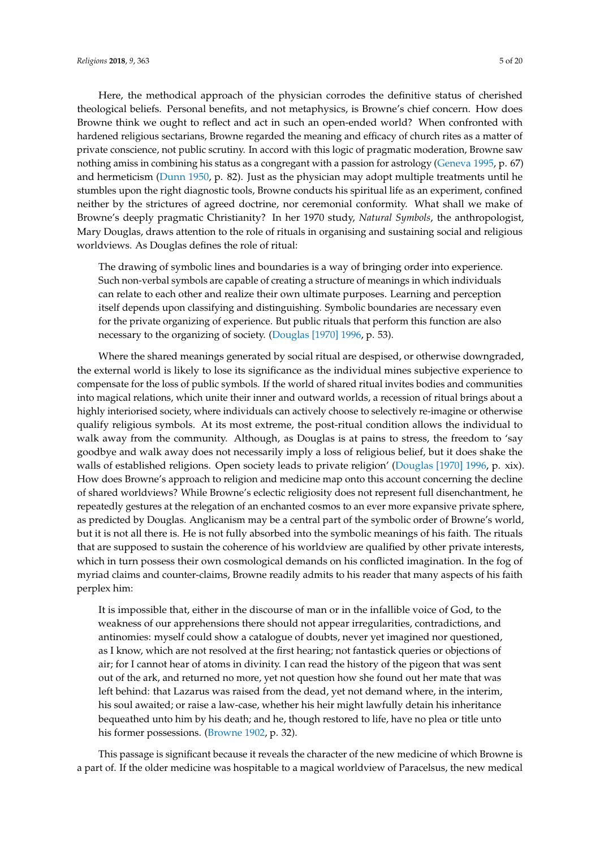Here, the methodical approach of the physician corrodes the definitive status of cherished theological beliefs. Personal benefits, and not metaphysics, is Browne's chief concern. How does Browne think we ought to reflect and act in such an open-ended world? When confronted with hardened religious sectarians, Browne regarded the meaning and efficacy of church rites as a matter of private conscience, not public scrutiny. In accord with this logic of pragmatic moderation, Browne saw nothing amiss in combining his status as a congregant with a passion for astrology [\(Geneva](#page-18-2) [1995,](#page-18-2) p. 67) and hermeticism [\(Dunn](#page-18-3) [1950,](#page-18-3) p. 82). Just as the physician may adopt multiple treatments until he stumbles upon the right diagnostic tools, Browne conducts his spiritual life as an experiment, confined neither by the strictures of agreed doctrine, nor ceremonial conformity. What shall we make of Browne's deeply pragmatic Christianity? In her 1970 study, *Natural Symbols*, the anthropologist, Mary Douglas, draws attention to the role of rituals in organising and sustaining social and religious worldviews. As Douglas defines the role of ritual:

The drawing of symbolic lines and boundaries is a way of bringing order into experience. Such non-verbal symbols are capable of creating a structure of meanings in which individuals can relate to each other and realize their own ultimate purposes. Learning and perception itself depends upon classifying and distinguishing. Symbolic boundaries are necessary even for the private organizing of experience. But public rituals that perform this function are also necessary to the organizing of society. [\(Douglas \[1970\]](#page-18-4) [1996,](#page-18-4) p. 53).

Where the shared meanings generated by social ritual are despised, or otherwise downgraded, the external world is likely to lose its significance as the individual mines subjective experience to compensate for the loss of public symbols. If the world of shared ritual invites bodies and communities into magical relations, which unite their inner and outward worlds, a recession of ritual brings about a highly interiorised society, where individuals can actively choose to selectively re-imagine or otherwise qualify religious symbols. At its most extreme, the post-ritual condition allows the individual to walk away from the community. Although, as Douglas is at pains to stress, the freedom to 'say goodbye and walk away does not necessarily imply a loss of religious belief, but it does shake the walls of established religions. Open society leads to private religion' [\(Douglas](#page-18-4) [1970] [1996,](#page-18-4) p. xix). How does Browne's approach to religion and medicine map onto this account concerning the decline of shared worldviews? While Browne's eclectic religiosity does not represent full disenchantment, he repeatedly gestures at the relegation of an enchanted cosmos to an ever more expansive private sphere, as predicted by Douglas. Anglicanism may be a central part of the symbolic order of Browne's world, but it is not all there is. He is not fully absorbed into the symbolic meanings of his faith. The rituals that are supposed to sustain the coherence of his worldview are qualified by other private interests, which in turn possess their own cosmological demands on his conflicted imagination. In the fog of myriad claims and counter-claims, Browne readily admits to his reader that many aspects of his faith perplex him:

It is impossible that, either in the discourse of man or in the infallible voice of God, to the weakness of our apprehensions there should not appear irregularities, contradictions, and antinomies: myself could show a catalogue of doubts, never yet imagined nor questioned, as I know, which are not resolved at the first hearing; not fantastick queries or objections of air; for I cannot hear of atoms in divinity. I can read the history of the pigeon that was sent out of the ark, and returned no more, yet not question how she found out her mate that was left behind: that Lazarus was raised from the dead, yet not demand where, in the interim, his soul awaited; or raise a law-case, whether his heir might lawfully detain his inheritance bequeathed unto him by his death; and he, though restored to life, have no plea or title unto his former possessions. [\(Browne](#page-18-0) [1902,](#page-18-0) p. 32).

This passage is significant because it reveals the character of the new medicine of which Browne is a part of. If the older medicine was hospitable to a magical worldview of Paracelsus, the new medical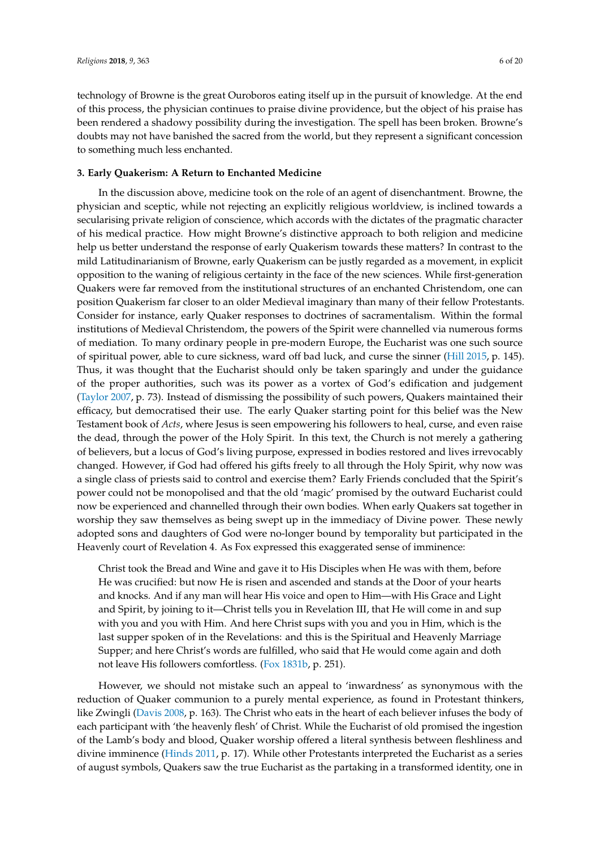technology of Browne is the great Ouroboros eating itself up in the pursuit of knowledge. At the end of this process, the physician continues to praise divine providence, but the object of his praise has been rendered a shadowy possibility during the investigation. The spell has been broken. Browne's doubts may not have banished the sacred from the world, but they represent a significant concession to something much less enchanted.

#### **3. Early Quakerism: A Return to Enchanted Medicine**

In the discussion above, medicine took on the role of an agent of disenchantment. Browne, the physician and sceptic, while not rejecting an explicitly religious worldview, is inclined towards a secularising private religion of conscience, which accords with the dictates of the pragmatic character of his medical practice. How might Browne's distinctive approach to both religion and medicine help us better understand the response of early Quakerism towards these matters? In contrast to the mild Latitudinarianism of Browne, early Quakerism can be justly regarded as a movement, in explicit opposition to the waning of religious certainty in the face of the new sciences. While first-generation Quakers were far removed from the institutional structures of an enchanted Christendom, one can position Quakerism far closer to an older Medieval imaginary than many of their fellow Protestants. Consider for instance, early Quaker responses to doctrines of sacramentalism. Within the formal institutions of Medieval Christendom, the powers of the Spirit were channelled via numerous forms of mediation. To many ordinary people in pre-modern Europe, the Eucharist was one such source of spiritual power, able to cure sickness, ward off bad luck, and curse the sinner [\(Hill](#page-19-8) [2015,](#page-19-8) p. 145). Thus, it was thought that the Eucharist should only be taken sparingly and under the guidance of the proper authorities, such was its power as a vortex of God's edification and judgement [\(Taylor](#page-19-2) [2007,](#page-19-2) p. 73). Instead of dismissing the possibility of such powers, Quakers maintained their efficacy, but democratised their use. The early Quaker starting point for this belief was the New Testament book of *Acts*, where Jesus is seen empowering his followers to heal, curse, and even raise the dead, through the power of the Holy Spirit. In this text, the Church is not merely a gathering of believers, but a locus of God's living purpose, expressed in bodies restored and lives irrevocably changed. However, if God had offered his gifts freely to all through the Holy Spirit, why now was a single class of priests said to control and exercise them? Early Friends concluded that the Spirit's power could not be monopolised and that the old 'magic' promised by the outward Eucharist could now be experienced and channelled through their own bodies. When early Quakers sat together in worship they saw themselves as being swept up in the immediacy of Divine power. These newly adopted sons and daughters of God were no-longer bound by temporality but participated in the Heavenly court of Revelation 4. As Fox expressed this exaggerated sense of imminence:

Christ took the Bread and Wine and gave it to His Disciples when He was with them, before He was crucified: but now He is risen and ascended and stands at the Door of your hearts and knocks. And if any man will hear His voice and open to Him—with His Grace and Light and Spirit, by joining to it—Christ tells you in Revelation III, that He will come in and sup with you and you with Him. And here Christ sups with you and you in Him, which is the last supper spoken of in the Revelations: and this is the Spiritual and Heavenly Marriage Supper; and here Christ's words are fulfilled, who said that He would come again and doth not leave His followers comfortless. [\(Fox](#page-18-5) [1831b,](#page-18-5) p. 251).

However, we should not mistake such an appeal to 'inwardness' as synonymous with the reduction of Quaker communion to a purely mental experience, as found in Protestant thinkers, like Zwingli [\(Davis](#page-18-6) [2008,](#page-18-6) p. 163). The Christ who eats in the heart of each believer infuses the body of each participant with 'the heavenly flesh' of Christ. While the Eucharist of old promised the ingestion of the Lamb's body and blood, Quaker worship offered a literal synthesis between fleshliness and divine imminence [\(Hinds](#page-19-9) [2011,](#page-19-9) p. 17). While other Protestants interpreted the Eucharist as a series of august symbols, Quakers saw the true Eucharist as the partaking in a transformed identity, one in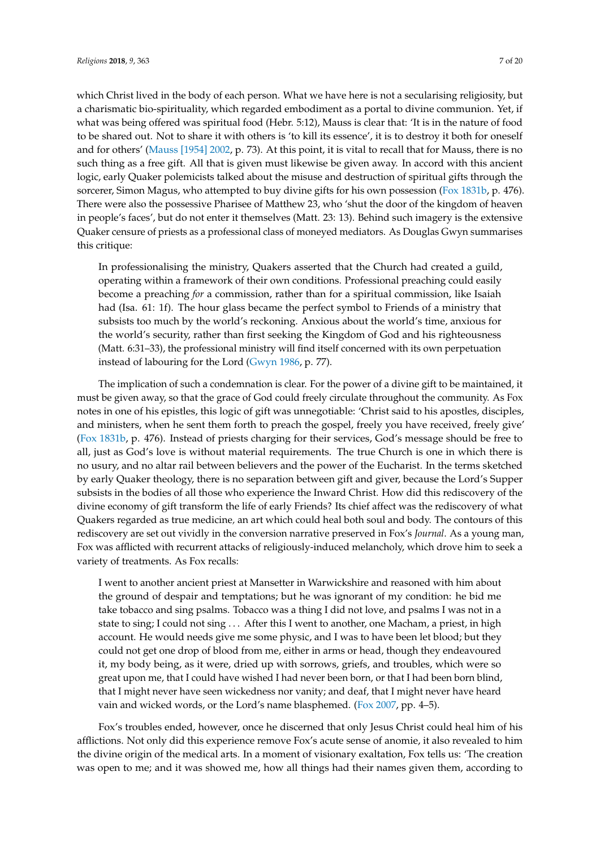which Christ lived in the body of each person. What we have here is not a secularising religiosity, but a charismatic bio-spirituality, which regarded embodiment as a portal to divine communion. Yet, if what was being offered was spiritual food (Hebr. 5:12), Mauss is clear that: 'It is in the nature of food to be shared out. Not to share it with others is 'to kill its essence', it is to destroy it both for oneself and for others' [\(Mauss](#page-19-6) [1954] [2002,](#page-19-6) p. 73). At this point, it is vital to recall that for Mauss, there is no such thing as a free gift. All that is given must likewise be given away. In accord with this ancient logic, early Quaker polemicists talked about the misuse and destruction of spiritual gifts through the sorcerer, Simon Magus, who attempted to buy divine gifts for his own possession [\(Fox](#page-18-5) [1831b,](#page-18-5) p. 476). There were also the possessive Pharisee of Matthew 23, who 'shut the door of the kingdom of heaven in people's faces', but do not enter it themselves (Matt. 23: 13). Behind such imagery is the extensive Quaker censure of priests as a professional class of moneyed mediators. As Douglas Gwyn summarises this critique:

In professionalising the ministry, Quakers asserted that the Church had created a guild, operating within a framework of their own conditions. Professional preaching could easily become a preaching *for* a commission, rather than for a spiritual commission, like Isaiah had (Isa. 61: 1f). The hour glass became the perfect symbol to Friends of a ministry that subsists too much by the world's reckoning. Anxious about the world's time, anxious for the world's security, rather than first seeking the Kingdom of God and his righteousness (Matt. 6:31–33), the professional ministry will find itself concerned with its own perpetuation instead of labouring for the Lord [\(Gwyn](#page-19-10) [1986,](#page-19-10) p. 77).

The implication of such a condemnation is clear. For the power of a divine gift to be maintained, it must be given away, so that the grace of God could freely circulate throughout the community. As Fox notes in one of his epistles, this logic of gift was unnegotiable: 'Christ said to his apostles, disciples, and ministers, when he sent them forth to preach the gospel, freely you have received, freely give' [\(Fox](#page-18-5) [1831b,](#page-18-5) p. 476). Instead of priests charging for their services, God's message should be free to all, just as God's love is without material requirements. The true Church is one in which there is no usury, and no altar rail between believers and the power of the Eucharist. In the terms sketched by early Quaker theology, there is no separation between gift and giver, because the Lord's Supper subsists in the bodies of all those who experience the Inward Christ. How did this rediscovery of the divine economy of gift transform the life of early Friends? Its chief affect was the rediscovery of what Quakers regarded as true medicine*,* an art which could heal both soul and body. The contours of this rediscovery are set out vividly in the conversion narrative preserved in Fox's *Journal*. As a young man, Fox was afflicted with recurrent attacks of religiously-induced melancholy, which drove him to seek a variety of treatments. As Fox recalls:

I went to another ancient priest at Mansetter in Warwickshire and reasoned with him about the ground of despair and temptations; but he was ignorant of my condition: he bid me take tobacco and sing psalms. Tobacco was a thing I did not love, and psalms I was not in a state to sing; I could not sing . . . After this I went to another, one Macham, a priest, in high account. He would needs give me some physic, and I was to have been let blood; but they could not get one drop of blood from me, either in arms or head, though they endeavoured it, my body being, as it were, dried up with sorrows, griefs, and troubles, which were so great upon me, that I could have wished I had never been born, or that I had been born blind, that I might never have seen wickedness nor vanity; and deaf, that I might never have heard vain and wicked words, or the Lord's name blasphemed. [\(Fox](#page-18-7) [2007,](#page-18-7) pp. 4–5).

Fox's troubles ended, however, once he discerned that only Jesus Christ could heal him of his afflictions. Not only did this experience remove Fox's acute sense of anomie, it also revealed to him the divine origin of the medical arts. In a moment of visionary exaltation, Fox tells us: 'The creation was open to me; and it was showed me, how all things had their names given them, according to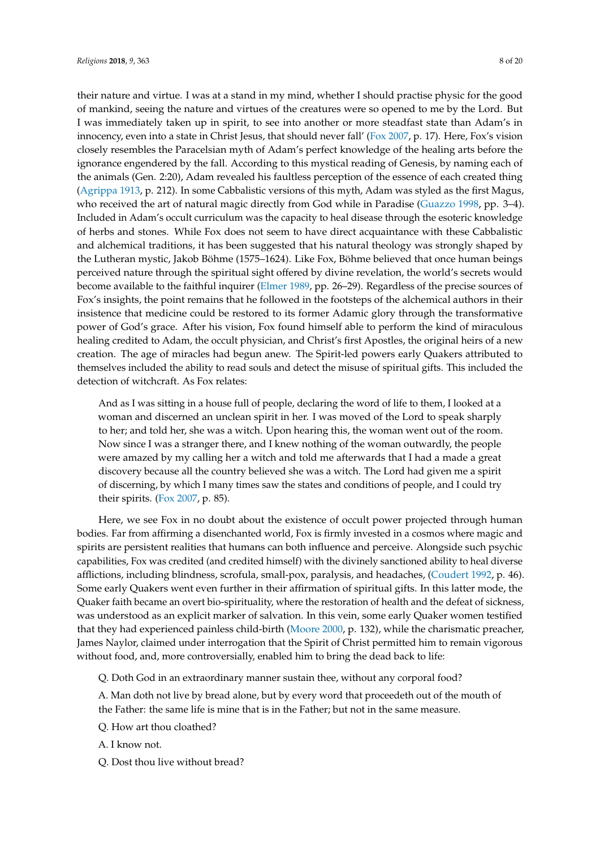their nature and virtue. I was at a stand in my mind, whether I should practise physic for the good of mankind, seeing the nature and virtues of the creatures were so opened to me by the Lord. But I was immediately taken up in spirit, to see into another or more steadfast state than Adam's in innocency, even into a state in Christ Jesus, that should never fall' [\(Fox](#page-18-7) [2007,](#page-18-7) p. 17). Here, Fox's vision closely resembles the Paracelsian myth of Adam's perfect knowledge of the healing arts before the ignorance engendered by the fall. According to this mystical reading of Genesis, by naming each of the animals (Gen. 2:20), Adam revealed his faultless perception of the essence of each created thing [\(Agrippa](#page-18-8) [1913,](#page-18-8) p. 212). In some Cabbalistic versions of this myth, Adam was styled as the first Magus, who received the art of natural magic directly from God while in Paradise [\(Guazzo](#page-18-9) [1998,](#page-18-9) pp. 3–4). Included in Adam's occult curriculum was the capacity to heal disease through the esoteric knowledge of herbs and stones. While Fox does not seem to have direct acquaintance with these Cabbalistic and alchemical traditions, it has been suggested that his natural theology was strongly shaped by the Lutheran mystic, Jakob Böhme (1575–1624). Like Fox, Böhme believed that once human beings perceived nature through the spiritual sight offered by divine revelation, the world's secrets would become available to the faithful inquirer [\(Elmer](#page-18-10) [1989,](#page-18-10) pp. 26–29). Regardless of the precise sources of Fox's insights, the point remains that he followed in the footsteps of the alchemical authors in their insistence that medicine could be restored to its former Adamic glory through the transformative power of God's grace. After his vision, Fox found himself able to perform the kind of miraculous healing credited to Adam, the occult physician, and Christ's first Apostles, the original heirs of a new creation. The age of miracles had begun anew. The Spirit-led powers early Quakers attributed to themselves included the ability to read souls and detect the misuse of spiritual gifts. This included the detection of witchcraft. As Fox relates:

And as I was sitting in a house full of people, declaring the word of life to them, I looked at a woman and discerned an unclean spirit in her. I was moved of the Lord to speak sharply to her; and told her, she was a witch. Upon hearing this, the woman went out of the room. Now since I was a stranger there, and I knew nothing of the woman outwardly, the people were amazed by my calling her a witch and told me afterwards that I had a made a great discovery because all the country believed she was a witch. The Lord had given me a spirit of discerning, by which I many times saw the states and conditions of people, and I could try their spirits. [\(Fox](#page-18-7) [2007,](#page-18-7) p. 85).

Here, we see Fox in no doubt about the existence of occult power projected through human bodies. Far from affirming a disenchanted world, Fox is firmly invested in a cosmos where magic and spirits are persistent realities that humans can both influence and perceive. Alongside such psychic capabilities, Fox was credited (and credited himself) with the divinely sanctioned ability to heal diverse afflictions, including blindness, scrofula, small-pox, paralysis, and headaches, [\(Coudert](#page-18-11) [1992,](#page-18-11) p. 46). Some early Quakers went even further in their affirmation of spiritual gifts. In this latter mode, the Quaker faith became an overt bio-spirituality, where the restoration of health and the defeat of sickness, was understood as an explicit marker of salvation. In this vein, some early Quaker women testified that they had experienced painless child-birth [\(Moore](#page-19-11) [2000,](#page-19-11) p. 132), while the charismatic preacher, James Naylor, claimed under interrogation that the Spirit of Christ permitted him to remain vigorous without food, and, more controversially, enabled him to bring the dead back to life:

Q. Doth God in an extraordinary manner sustain thee, without any corporal food?

A. Man doth not live by bread alone, but by every word that proceedeth out of the mouth of the Father: the same life is mine that is in the Father; but not in the same measure.

- Q. How art thou cloathed?
- A. I know not.
- Q. Dost thou live without bread?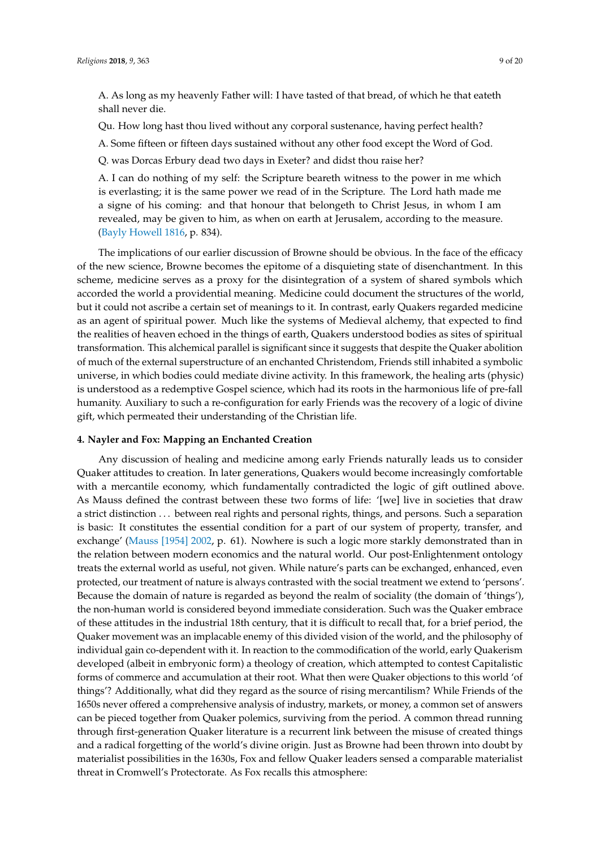A. As long as my heavenly Father will: I have tasted of that bread, of which he that eateth shall never die.

Qu. How long hast thou lived without any corporal sustenance, having perfect health?

A. Some fifteen or fifteen days sustained without any other food except the Word of God.

Q. was Dorcas Erbury dead two days in Exeter? and didst thou raise her?

A. I can do nothing of my self: the Scripture beareth witness to the power in me which is everlasting; it is the same power we read of in the Scripture. The Lord hath made me a signe of his coming: and that honour that belongeth to Christ Jesus, in whom I am revealed, may be given to him, as when on earth at Jerusalem, according to the measure. [\(Bayly Howell](#page-18-12) [1816,](#page-18-12) p. 834).

The implications of our earlier discussion of Browne should be obvious. In the face of the efficacy of the new science, Browne becomes the epitome of a disquieting state of disenchantment. In this scheme, medicine serves as a proxy for the disintegration of a system of shared symbols which accorded the world a providential meaning. Medicine could document the structures of the world, but it could not ascribe a certain set of meanings to it. In contrast, early Quakers regarded medicine as an agent of spiritual power. Much like the systems of Medieval alchemy, that expected to find the realities of heaven echoed in the things of earth, Quakers understood bodies as sites of spiritual transformation. This alchemical parallel is significant since it suggests that despite the Quaker abolition of much of the external superstructure of an enchanted Christendom, Friends still inhabited a symbolic universe, in which bodies could mediate divine activity. In this framework, the healing arts (physic) is understood as a redemptive Gospel science, which had its roots in the harmonious life of pre-fall humanity. Auxiliary to such a re-configuration for early Friends was the recovery of a logic of divine gift, which permeated their understanding of the Christian life.

## **4. Nayler and Fox: Mapping an Enchanted Creation**

Any discussion of healing and medicine among early Friends naturally leads us to consider Quaker attitudes to creation. In later generations, Quakers would become increasingly comfortable with a mercantile economy, which fundamentally contradicted the logic of gift outlined above. As Mauss defined the contrast between these two forms of life: '[we] live in societies that draw a strict distinction . . . between real rights and personal rights, things, and persons. Such a separation is basic: It constitutes the essential condition for a part of our system of property, transfer, and exchange' [\(Mauss](#page-19-6) [1954] [2002,](#page-19-6) p. 61). Nowhere is such a logic more starkly demonstrated than in the relation between modern economics and the natural world. Our post-Enlightenment ontology treats the external world as useful, not given. While nature's parts can be exchanged, enhanced, even protected, our treatment of nature is always contrasted with the social treatment we extend to 'persons'. Because the domain of nature is regarded as beyond the realm of sociality (the domain of 'things'), the non-human world is considered beyond immediate consideration. Such was the Quaker embrace of these attitudes in the industrial 18th century, that it is difficult to recall that, for a brief period, the Quaker movement was an implacable enemy of this divided vision of the world, and the philosophy of individual gain co-dependent with it. In reaction to the commodification of the world, early Quakerism developed (albeit in embryonic form) a theology of creation, which attempted to contest Capitalistic forms of commerce and accumulation at their root. What then were Quaker objections to this world 'of things'? Additionally, what did they regard as the source of rising mercantilism? While Friends of the 1650s never offered a comprehensive analysis of industry, markets, or money, a common set of answers can be pieced together from Quaker polemics, surviving from the period. A common thread running through first-generation Quaker literature is a recurrent link between the misuse of created things and a radical forgetting of the world's divine origin. Just as Browne had been thrown into doubt by materialist possibilities in the 1630s, Fox and fellow Quaker leaders sensed a comparable materialist threat in Cromwell's Protectorate. As Fox recalls this atmosphere: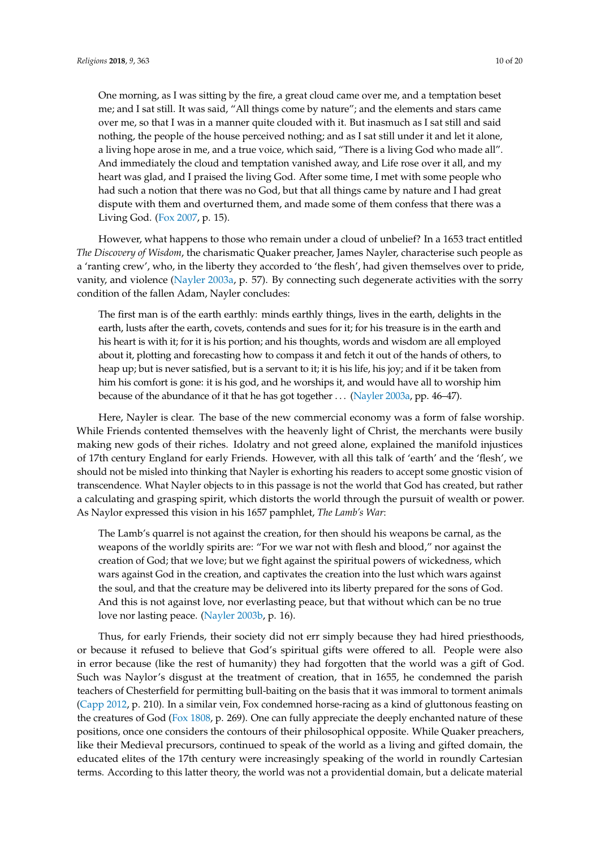One morning, as I was sitting by the fire, a great cloud came over me, and a temptation beset me; and I sat still. It was said, "All things come by nature"; and the elements and stars came over me, so that I was in a manner quite clouded with it. But inasmuch as I sat still and said nothing, the people of the house perceived nothing; and as I sat still under it and let it alone, a living hope arose in me, and a true voice, which said, "There is a living God who made all". And immediately the cloud and temptation vanished away, and Life rose over it all, and my heart was glad, and I praised the living God. After some time, I met with some people who had such a notion that there was no God, but that all things came by nature and I had great dispute with them and overturned them, and made some of them confess that there was a Living God. [\(Fox](#page-18-7) [2007,](#page-18-7) p. 15).

However, what happens to those who remain under a cloud of unbelief? In a 1653 tract entitled *The Discovery of Wisdom*, the charismatic Quaker preacher, James Nayler, characterise such people as a 'ranting crew', who, in the liberty they accorded to 'the flesh', had given themselves over to pride, vanity, and violence [\(Nayler](#page-19-12) [2003a,](#page-19-12) p. 57). By connecting such degenerate activities with the sorry condition of the fallen Adam, Nayler concludes:

The first man is of the earth earthly: minds earthly things, lives in the earth, delights in the earth, lusts after the earth, covets, contends and sues for it; for his treasure is in the earth and his heart is with it; for it is his portion; and his thoughts, words and wisdom are all employed about it, plotting and forecasting how to compass it and fetch it out of the hands of others, to heap up; but is never satisfied, but is a servant to it; it is his life, his joy; and if it be taken from him his comfort is gone: it is his god, and he worships it, and would have all to worship him because of the abundance of it that he has got together . . . [\(Nayler](#page-19-12) [2003a,](#page-19-12) pp. 46–47).

Here, Nayler is clear. The base of the new commercial economy was a form of false worship. While Friends contented themselves with the heavenly light of Christ, the merchants were busily making new gods of their riches. Idolatry and not greed alone, explained the manifold injustices of 17th century England for early Friends. However, with all this talk of 'earth' and the 'flesh', we should not be misled into thinking that Nayler is exhorting his readers to accept some gnostic vision of transcendence. What Nayler objects to in this passage is not the world that God has created, but rather a calculating and grasping spirit, which distorts the world through the pursuit of wealth or power. As Naylor expressed this vision in his 1657 pamphlet, *The Lamb's War*:

The Lamb's quarrel is not against the creation, for then should his weapons be carnal, as the weapons of the worldly spirits are: "For we war not with flesh and blood," nor against the creation of God; that we love; but we fight against the spiritual powers of wickedness, which wars against God in the creation, and captivates the creation into the lust which wars against the soul, and that the creature may be delivered into its liberty prepared for the sons of God. And this is not against love, nor everlasting peace, but that without which can be no true love nor lasting peace. [\(Nayler](#page-19-13) [2003b,](#page-19-13) p. 16).

Thus, for early Friends, their society did not err simply because they had hired priesthoods, or because it refused to believe that God's spiritual gifts were offered to all. People were also in error because (like the rest of humanity) they had forgotten that the world was a gift of God. Such was Naylor's disgust at the treatment of creation, that in 1655, he condemned the parish teachers of Chesterfield for permitting bull-baiting on the basis that it was immoral to torment animals [\(Capp](#page-18-13) [2012,](#page-18-13) p. 210). In a similar vein, Fox condemned horse-racing as a kind of gluttonous feasting on the creatures of God [\(Fox](#page-18-14) [1808,](#page-18-14) p. 269). One can fully appreciate the deeply enchanted nature of these positions, once one considers the contours of their philosophical opposite. While Quaker preachers, like their Medieval precursors, continued to speak of the world as a living and gifted domain, the educated elites of the 17th century were increasingly speaking of the world in roundly Cartesian terms. According to this latter theory, the world was not a providential domain, but a delicate material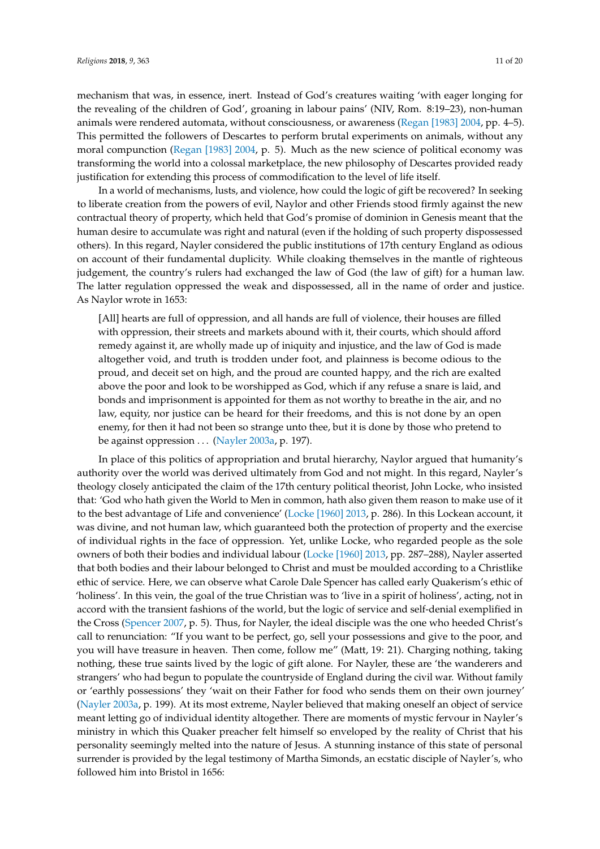mechanism that was, in essence, inert. Instead of God's creatures waiting 'with eager longing for the revealing of the children of God', groaning in labour pains' (NIV, Rom. 8:19–23), non-human animals were rendered automata, without consciousness, or awareness [\(Regan \[1983\]](#page-19-14) [2004,](#page-19-14) pp. 4–5). This permitted the followers of Descartes to perform brutal experiments on animals, without any moral compunction [\(Regan](#page-19-14) [1983] [2004,](#page-19-14) p. 5). Much as the new science of political economy was transforming the world into a colossal marketplace, the new philosophy of Descartes provided ready justification for extending this process of commodification to the level of life itself.

In a world of mechanisms, lusts, and violence, how could the logic of gift be recovered? In seeking to liberate creation from the powers of evil, Naylor and other Friends stood firmly against the new contractual theory of property, which held that God's promise of dominion in Genesis meant that the human desire to accumulate was right and natural (even if the holding of such property dispossessed others). In this regard, Nayler considered the public institutions of 17th century England as odious on account of their fundamental duplicity. While cloaking themselves in the mantle of righteous judgement, the country's rulers had exchanged the law of God (the law of gift) for a human law. The latter regulation oppressed the weak and dispossessed, all in the name of order and justice. As Naylor wrote in 1653:

[All] hearts are full of oppression, and all hands are full of violence, their houses are filled with oppression, their streets and markets abound with it, their courts, which should afford remedy against it, are wholly made up of iniquity and injustice, and the law of God is made altogether void, and truth is trodden under foot, and plainness is become odious to the proud, and deceit set on high, and the proud are counted happy, and the rich are exalted above the poor and look to be worshipped as God, which if any refuse a snare is laid, and bonds and imprisonment is appointed for them as not worthy to breathe in the air, and no law, equity, nor justice can be heard for their freedoms, and this is not done by an open enemy, for then it had not been so strange unto thee, but it is done by those who pretend to be against oppression  $\ldots$  [\(Nayler](#page-19-12) [2003a,](#page-19-12) p. 197).

In place of this politics of appropriation and brutal hierarchy, Naylor argued that humanity's authority over the world was derived ultimately from God and not might. In this regard, Nayler's theology closely anticipated the claim of the 17th century political theorist, John Locke, who insisted that: 'God who hath given the World to Men in common, hath also given them reason to make use of it to the best advantage of Life and convenience' [\(Locke](#page-19-15) [1960] [2013,](#page-19-15) p. 286). In this Lockean account, it was divine, and not human law, which guaranteed both the protection of property and the exercise of individual rights in the face of oppression. Yet, unlike Locke, who regarded people as the sole owners of both their bodies and individual labour [\(Locke](#page-19-15) [1960] [2013,](#page-19-15) pp. 287–288), Nayler asserted that both bodies and their labour belonged to Christ and must be moulded according to a Christlike ethic of service. Here, we can observe what Carole Dale Spencer has called early Quakerism's ethic of 'holiness'. In this vein, the goal of the true Christian was to 'live in a spirit of holiness', acting, not in accord with the transient fashions of the world, but the logic of service and self-denial exemplified in the Cross [\(Spencer](#page-19-16) [2007,](#page-19-16) p. 5). Thus, for Nayler, the ideal disciple was the one who heeded Christ's call to renunciation: "If you want to be perfect, go, sell your possessions and give to the poor, and you will have treasure in heaven. Then come, follow me" (Matt, 19: 21). Charging nothing, taking nothing, these true saints lived by the logic of gift alone. For Nayler, these are 'the wanderers and strangers' who had begun to populate the countryside of England during the civil war. Without family or 'earthly possessions' they 'wait on their Father for food who sends them on their own journey' [\(Nayler](#page-19-12) [2003a,](#page-19-12) p. 199). At its most extreme, Nayler believed that making oneself an object of service meant letting go of individual identity altogether. There are moments of mystic fervour in Nayler's ministry in which this Quaker preacher felt himself so enveloped by the reality of Christ that his personality seemingly melted into the nature of Jesus. A stunning instance of this state of personal surrender is provided by the legal testimony of Martha Simonds, an ecstatic disciple of Nayler's, who followed him into Bristol in 1656: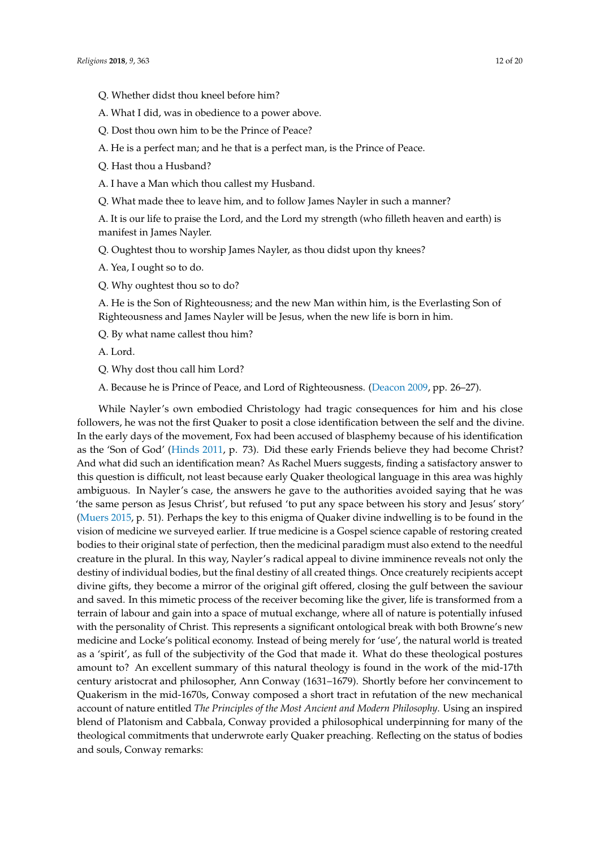Q. Whether didst thou kneel before him?

A. What I did, was in obedience to a power above.

Q. Dost thou own him to be the Prince of Peace?

A. He is a perfect man; and he that is a perfect man, is the Prince of Peace.

Q. Hast thou a Husband?

A. I have a Man which thou callest my Husband.

Q. What made thee to leave him, and to follow James Nayler in such a manner?

A. It is our life to praise the Lord, and the Lord my strength (who filleth heaven and earth) is manifest in James Nayler.

Q. Oughtest thou to worship James Nayler, as thou didst upon thy knees?

A. Yea, I ought so to do.

Q. Why oughtest thou so to do?

A. He is the Son of Righteousness; and the new Man within him, is the Everlasting Son of Righteousness and James Nayler will be Jesus, when the new life is born in him.

Q. By what name callest thou him?

A. Lord.

Q. Why dost thou call him Lord?

A. Because he is Prince of Peace, and Lord of Righteousness. [\(Deacon](#page-18-15) [2009,](#page-18-15) pp. 26–27).

While Nayler's own embodied Christology had tragic consequences for him and his close followers, he was not the first Quaker to posit a close identification between the self and the divine. In the early days of the movement, Fox had been accused of blasphemy because of his identification as the 'Son of God' [\(Hinds](#page-19-9) [2011,](#page-19-9) p. 73). Did these early Friends believe they had become Christ? And what did such an identification mean? As Rachel Muers suggests, finding a satisfactory answer to this question is difficult, not least because early Quaker theological language in this area was highly ambiguous. In Nayler's case, the answers he gave to the authorities avoided saying that he was 'the same person as Jesus Christ', but refused 'to put any space between his story and Jesus' story' [\(Muers](#page-19-17) [2015,](#page-19-17) p. 51). Perhaps the key to this enigma of Quaker divine indwelling is to be found in the vision of medicine we surveyed earlier. If true medicine is a Gospel science capable of restoring created bodies to their original state of perfection, then the medicinal paradigm must also extend to the needful creature in the plural. In this way, Nayler's radical appeal to divine imminence reveals not only the destiny of individual bodies, but the final destiny of all created things. Once creaturely recipients accept divine gifts, they become a mirror of the original gift offered, closing the gulf between the saviour and saved. In this mimetic process of the receiver becoming like the giver, life is transformed from a terrain of labour and gain into a space of mutual exchange, where all of nature is potentially infused with the personality of Christ. This represents a significant ontological break with both Browne's new medicine and Locke's political economy. Instead of being merely for 'use', the natural world is treated as a 'spirit', as full of the subjectivity of the God that made it. What do these theological postures amount to? An excellent summary of this natural theology is found in the work of the mid-17th century aristocrat and philosopher, Ann Conway (1631–1679). Shortly before her convincement to Quakerism in the mid-1670s, Conway composed a short tract in refutation of the new mechanical account of nature entitled *The Principles of the Most Ancient and Modern Philosophy*. Using an inspired blend of Platonism and Cabbala, Conway provided a philosophical underpinning for many of the theological commitments that underwrote early Quaker preaching. Reflecting on the status of bodies and souls, Conway remarks: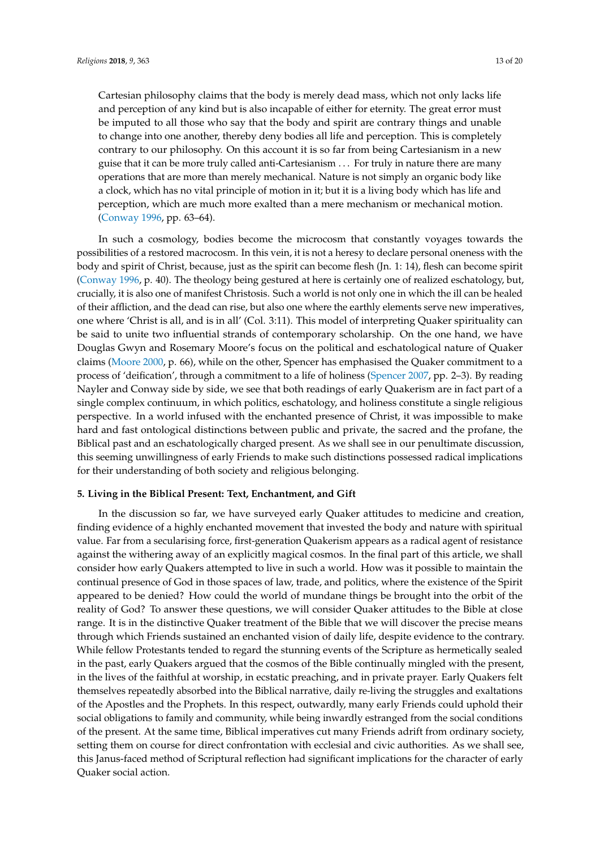Cartesian philosophy claims that the body is merely dead mass, which not only lacks life and perception of any kind but is also incapable of either for eternity. The great error must be imputed to all those who say that the body and spirit are contrary things and unable to change into one another, thereby deny bodies all life and perception. This is completely contrary to our philosophy. On this account it is so far from being Cartesianism in a new guise that it can be more truly called anti-Cartesianism . . . For truly in nature there are many operations that are more than merely mechanical. Nature is not simply an organic body like a clock, which has no vital principle of motion in it; but it is a living body which has life and perception, which are much more exalted than a mere mechanism or mechanical motion. [\(Conway](#page-18-16) [1996,](#page-18-16) pp. 63–64).

In such a cosmology, bodies become the microcosm that constantly voyages towards the possibilities of a restored macrocosm. In this vein, it is not a heresy to declare personal oneness with the body and spirit of Christ, because, just as the spirit can become flesh (Jn. 1: 14), flesh can become spirit [\(Conway](#page-18-16) [1996,](#page-18-16) p. 40). The theology being gestured at here is certainly one of realized eschatology, but, crucially, it is also one of manifest Christosis. Such a world is not only one in which the ill can be healed of their affliction, and the dead can rise, but also one where the earthly elements serve new imperatives, one where 'Christ is all, and is in all' (Col. 3:11). This model of interpreting Quaker spirituality can be said to unite two influential strands of contemporary scholarship. On the one hand, we have Douglas Gwyn and Rosemary Moore's focus on the political and eschatological nature of Quaker claims [\(Moore](#page-19-11) [2000,](#page-19-11) p. 66), while on the other, Spencer has emphasised the Quaker commitment to a process of 'deification', through a commitment to a life of holiness [\(Spencer](#page-19-16) [2007,](#page-19-16) pp. 2–3). By reading Nayler and Conway side by side, we see that both readings of early Quakerism are in fact part of a single complex continuum, in which politics, eschatology, and holiness constitute a single religious perspective. In a world infused with the enchanted presence of Christ, it was impossible to make hard and fast ontological distinctions between public and private, the sacred and the profane, the Biblical past and an eschatologically charged present. As we shall see in our penultimate discussion, this seeming unwillingness of early Friends to make such distinctions possessed radical implications for their understanding of both society and religious belonging.

#### **5. Living in the Biblical Present: Text, Enchantment, and Gift**

In the discussion so far, we have surveyed early Quaker attitudes to medicine and creation, finding evidence of a highly enchanted movement that invested the body and nature with spiritual value. Far from a secularising force, first-generation Quakerism appears as a radical agent of resistance against the withering away of an explicitly magical cosmos. In the final part of this article, we shall consider how early Quakers attempted to live in such a world. How was it possible to maintain the continual presence of God in those spaces of law, trade, and politics, where the existence of the Spirit appeared to be denied? How could the world of mundane things be brought into the orbit of the reality of God? To answer these questions, we will consider Quaker attitudes to the Bible at close range. It is in the distinctive Quaker treatment of the Bible that we will discover the precise means through which Friends sustained an enchanted vision of daily life, despite evidence to the contrary. While fellow Protestants tended to regard the stunning events of the Scripture as hermetically sealed in the past, early Quakers argued that the cosmos of the Bible continually mingled with the present, in the lives of the faithful at worship, in ecstatic preaching, and in private prayer. Early Quakers felt themselves repeatedly absorbed into the Biblical narrative, daily re-living the struggles and exaltations of the Apostles and the Prophets. In this respect, outwardly, many early Friends could uphold their social obligations to family and community, while being inwardly estranged from the social conditions of the present. At the same time, Biblical imperatives cut many Friends adrift from ordinary society, setting them on course for direct confrontation with ecclesial and civic authorities. As we shall see, this Janus-faced method of Scriptural reflection had significant implications for the character of early Quaker social action.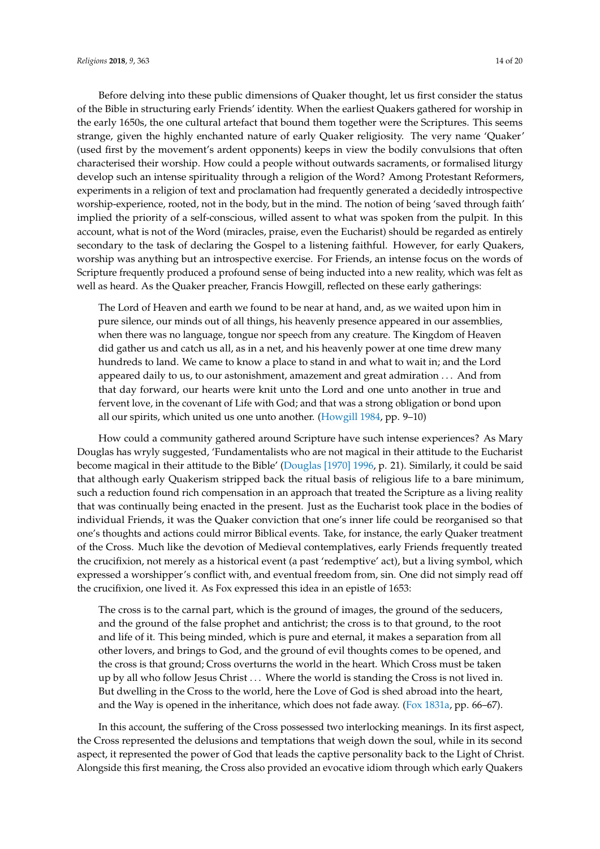Before delving into these public dimensions of Quaker thought, let us first consider the status of the Bible in structuring early Friends' identity. When the earliest Quakers gathered for worship in the early 1650s, the one cultural artefact that bound them together were the Scriptures. This seems strange, given the highly enchanted nature of early Quaker religiosity. The very name 'Quaker' (used first by the movement's ardent opponents) keeps in view the bodily convulsions that often characterised their worship. How could a people without outwards sacraments, or formalised liturgy develop such an intense spirituality through a religion of the Word? Among Protestant Reformers, experiments in a religion of text and proclamation had frequently generated a decidedly introspective worship-experience, rooted, not in the body, but in the mind. The notion of being 'saved through faith' implied the priority of a self-conscious, willed assent to what was spoken from the pulpit. In this account, what is not of the Word (miracles, praise, even the Eucharist) should be regarded as entirely secondary to the task of declaring the Gospel to a listening faithful. However, for early Quakers, worship was anything but an introspective exercise. For Friends, an intense focus on the words of Scripture frequently produced a profound sense of being inducted into a new reality, which was felt as well as heard. As the Quaker preacher, Francis Howgill, reflected on these early gatherings:

The Lord of Heaven and earth we found to be near at hand, and, as we waited upon him in pure silence, our minds out of all things, his heavenly presence appeared in our assemblies, when there was no language, tongue nor speech from any creature. The Kingdom of Heaven did gather us and catch us all, as in a net, and his heavenly power at one time drew many hundreds to land. We came to know a place to stand in and what to wait in; and the Lord appeared daily to us, to our astonishment, amazement and great admiration . . . And from that day forward, our hearts were knit unto the Lord and one unto another in true and fervent love, in the covenant of Life with God; and that was a strong obligation or bond upon all our spirits, which united us one unto another. [\(Howgill](#page-19-18) [1984,](#page-19-18) pp. 9–10)

How could a community gathered around Scripture have such intense experiences? As Mary Douglas has wryly suggested, 'Fundamentalists who are not magical in their attitude to the Eucharist become magical in their attitude to the Bible' [\(Douglas](#page-18-4) [1970] [1996,](#page-18-4) p. 21). Similarly, it could be said that although early Quakerism stripped back the ritual basis of religious life to a bare minimum, such a reduction found rich compensation in an approach that treated the Scripture as a living reality that was continually being enacted in the present. Just as the Eucharist took place in the bodies of individual Friends, it was the Quaker conviction that one's inner life could be reorganised so that one's thoughts and actions could mirror Biblical events. Take, for instance, the early Quaker treatment of the Cross. Much like the devotion of Medieval contemplatives, early Friends frequently treated the crucifixion, not merely as a historical event (a past 'redemptive' act), but a living symbol, which expressed a worshipper's conflict with, and eventual freedom from, sin. One did not simply read off the crucifixion, one lived it. As Fox expressed this idea in an epistle of 1653:

The cross is to the carnal part, which is the ground of images, the ground of the seducers, and the ground of the false prophet and antichrist; the cross is to that ground, to the root and life of it. This being minded, which is pure and eternal, it makes a separation from all other lovers, and brings to God, and the ground of evil thoughts comes to be opened, and the cross is that ground; Cross overturns the world in the heart. Which Cross must be taken up by all who follow Jesus Christ . . . Where the world is standing the Cross is not lived in. But dwelling in the Cross to the world, here the Love of God is shed abroad into the heart, and the Way is opened in the inheritance, which does not fade away. [\(Fox](#page-18-17) [1831a,](#page-18-17) pp. 66–67).

In this account, the suffering of the Cross possessed two interlocking meanings. In its first aspect, the Cross represented the delusions and temptations that weigh down the soul, while in its second aspect, it represented the power of God that leads the captive personality back to the Light of Christ. Alongside this first meaning, the Cross also provided an evocative idiom through which early Quakers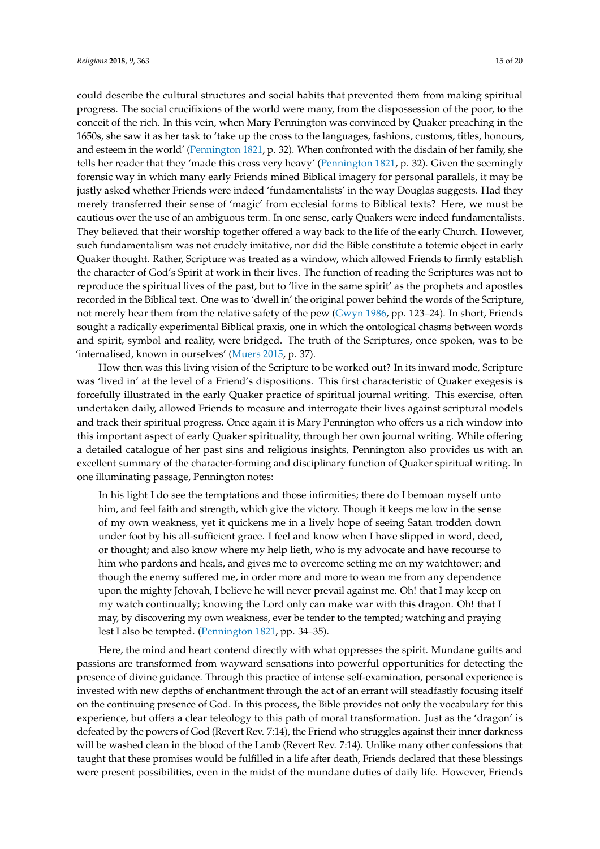could describe the cultural structures and social habits that prevented them from making spiritual progress. The social crucifixions of the world were many, from the dispossession of the poor, to the conceit of the rich. In this vein, when Mary Pennington was convinced by Quaker preaching in the 1650s, she saw it as her task to 'take up the cross to the languages, fashions, customs, titles, honours, and esteem in the world' [\(Pennington](#page-19-19) [1821,](#page-19-19) p. 32). When confronted with the disdain of her family, she tells her reader that they 'made this cross very heavy' [\(Pennington](#page-19-19) [1821,](#page-19-19) p. 32). Given the seemingly forensic way in which many early Friends mined Biblical imagery for personal parallels, it may be justly asked whether Friends were indeed 'fundamentalists' in the way Douglas suggests. Had they merely transferred their sense of 'magic' from ecclesial forms to Biblical texts? Here, we must be cautious over the use of an ambiguous term. In one sense, early Quakers were indeed fundamentalists. They believed that their worship together offered a way back to the life of the early Church. However, such fundamentalism was not crudely imitative, nor did the Bible constitute a totemic object in early Quaker thought. Rather, Scripture was treated as a window, which allowed Friends to firmly establish the character of God's Spirit at work in their lives. The function of reading the Scriptures was not to reproduce the spiritual lives of the past, but to 'live in the same spirit' as the prophets and apostles recorded in the Biblical text. One was to 'dwell in' the original power behind the words of the Scripture, not merely hear them from the relative safety of the pew [\(Gwyn](#page-19-10) [1986,](#page-19-10) pp. 123–24). In short, Friends sought a radically experimental Biblical praxis, one in which the ontological chasms between words and spirit, symbol and reality, were bridged. The truth of the Scriptures, once spoken, was to be 'internalised, known in ourselves' [\(Muers](#page-19-17) [2015,](#page-19-17) p. 37).

How then was this living vision of the Scripture to be worked out? In its inward mode, Scripture was 'lived in' at the level of a Friend's dispositions. This first characteristic of Quaker exegesis is forcefully illustrated in the early Quaker practice of spiritual journal writing. This exercise, often undertaken daily, allowed Friends to measure and interrogate their lives against scriptural models and track their spiritual progress. Once again it is Mary Pennington who offers us a rich window into this important aspect of early Quaker spirituality, through her own journal writing. While offering a detailed catalogue of her past sins and religious insights, Pennington also provides us with an excellent summary of the character-forming and disciplinary function of Quaker spiritual writing. In one illuminating passage, Pennington notes:

In his light I do see the temptations and those infirmities; there do I bemoan myself unto him, and feel faith and strength, which give the victory. Though it keeps me low in the sense of my own weakness, yet it quickens me in a lively hope of seeing Satan trodden down under foot by his all-sufficient grace. I feel and know when I have slipped in word, deed, or thought; and also know where my help lieth, who is my advocate and have recourse to him who pardons and heals, and gives me to overcome setting me on my watchtower; and though the enemy suffered me, in order more and more to wean me from any dependence upon the mighty Jehovah, I believe he will never prevail against me. Oh! that I may keep on my watch continually; knowing the Lord only can make war with this dragon. Oh! that I may, by discovering my own weakness, ever be tender to the tempted; watching and praying lest I also be tempted. [\(Pennington](#page-19-19) [1821,](#page-19-19) pp. 34–35).

Here, the mind and heart contend directly with what oppresses the spirit. Mundane guilts and passions are transformed from wayward sensations into powerful opportunities for detecting the presence of divine guidance. Through this practice of intense self-examination, personal experience is invested with new depths of enchantment through the act of an errant will steadfastly focusing itself on the continuing presence of God. In this process, the Bible provides not only the vocabulary for this experience, but offers a clear teleology to this path of moral transformation. Just as the 'dragon' is defeated by the powers of God (Revert Rev. 7:14), the Friend who struggles against their inner darkness will be washed clean in the blood of the Lamb (Revert Rev. 7:14). Unlike many other confessions that taught that these promises would be fulfilled in a life after death, Friends declared that these blessings were present possibilities, even in the midst of the mundane duties of daily life. However, Friends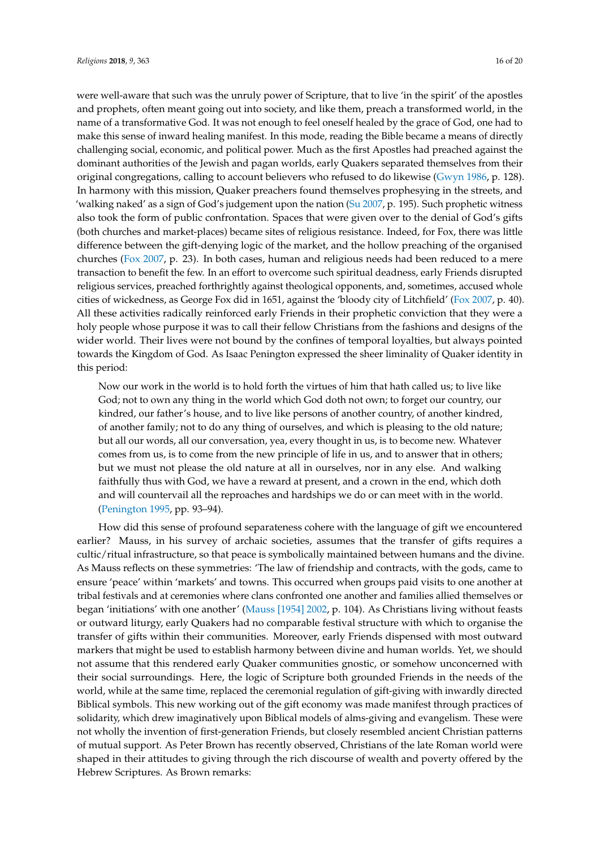were well-aware that such was the unruly power of Scripture, that to live 'in the spirit' of the apostles and prophets, often meant going out into society, and like them, preach a transformed world, in the name of a transformative God. It was not enough to feel oneself healed by the grace of God, one had to make this sense of inward healing manifest. In this mode, reading the Bible became a means of directly challenging social, economic, and political power. Much as the first Apostles had preached against the dominant authorities of the Jewish and pagan worlds, early Quakers separated themselves from their original congregations, calling to account believers who refused to do likewise [\(Gwyn](#page-19-10) [1986,](#page-19-10) p. 128). In harmony with this mission, Quaker preachers found themselves prophesying in the streets, and 'walking naked' as a sign of God's judgement upon the nation [\(Su](#page-18-18) [2007,](#page-18-18) p. 195). Such prophetic witness also took the form of public confrontation. Spaces that were given over to the denial of God's gifts (both churches and market-places) became sites of religious resistance. Indeed, for Fox, there was little difference between the gift-denying logic of the market, and the hollow preaching of the organised churches [\(Fox](#page-18-7) [2007,](#page-18-7) p. 23). In both cases, human and religious needs had been reduced to a mere transaction to benefit the few. In an effort to overcome such spiritual deadness, early Friends disrupted religious services, preached forthrightly against theological opponents, and, sometimes, accused whole cities of wickedness, as George Fox did in 1651, against the 'bloody city of Litchfield' [\(Fox](#page-18-7) [2007,](#page-18-7) p. 40). All these activities radically reinforced early Friends in their prophetic conviction that they were a holy people whose purpose it was to call their fellow Christians from the fashions and designs of the wider world. Their lives were not bound by the confines of temporal loyalties, but always pointed towards the Kingdom of God. As Isaac Penington expressed the sheer liminality of Quaker identity in this period:

Now our work in the world is to hold forth the virtues of him that hath called us; to live like God; not to own any thing in the world which God doth not own; to forget our country, our kindred, our father's house, and to live like persons of another country, of another kindred, of another family; not to do any thing of ourselves, and which is pleasing to the old nature; but all our words, all our conversation, yea, every thought in us, is to become new. Whatever comes from us, is to come from the new principle of life in us, and to answer that in others; but we must not please the old nature at all in ourselves, nor in any else. And walking faithfully thus with God, we have a reward at present, and a crown in the end, which doth and will countervail all the reproaches and hardships we do or can meet with in the world. [\(Penington](#page-19-1) [1995,](#page-19-1) pp. 93–94).

How did this sense of profound separateness cohere with the language of gift we encountered earlier? Mauss, in his survey of archaic societies, assumes that the transfer of gifts requires a cultic/ritual infrastructure, so that peace is symbolically maintained between humans and the divine. As Mauss reflects on these symmetries: 'The law of friendship and contracts, with the gods, came to ensure 'peace' within 'markets' and towns. This occurred when groups paid visits to one another at tribal festivals and at ceremonies where clans confronted one another and families allied themselves or began 'initiations' with one another' [\(Mauss](#page-19-6) [1954] [2002,](#page-19-6) p. 104). As Christians living without feasts or outward liturgy, early Quakers had no comparable festival structure with which to organise the transfer of gifts within their communities. Moreover, early Friends dispensed with most outward markers that might be used to establish harmony between divine and human worlds. Yet, we should not assume that this rendered early Quaker communities gnostic, or somehow unconcerned with their social surroundings. Here, the logic of Scripture both grounded Friends in the needs of the world, while at the same time, replaced the ceremonial regulation of gift-giving with inwardly directed Biblical symbols. This new working out of the gift economy was made manifest through practices of solidarity, which drew imaginatively upon Biblical models of alms-giving and evangelism. These were not wholly the invention of first-generation Friends, but closely resembled ancient Christian patterns of mutual support. As Peter Brown has recently observed, Christians of the late Roman world were shaped in their attitudes to giving through the rich discourse of wealth and poverty offered by the Hebrew Scriptures. As Brown remarks: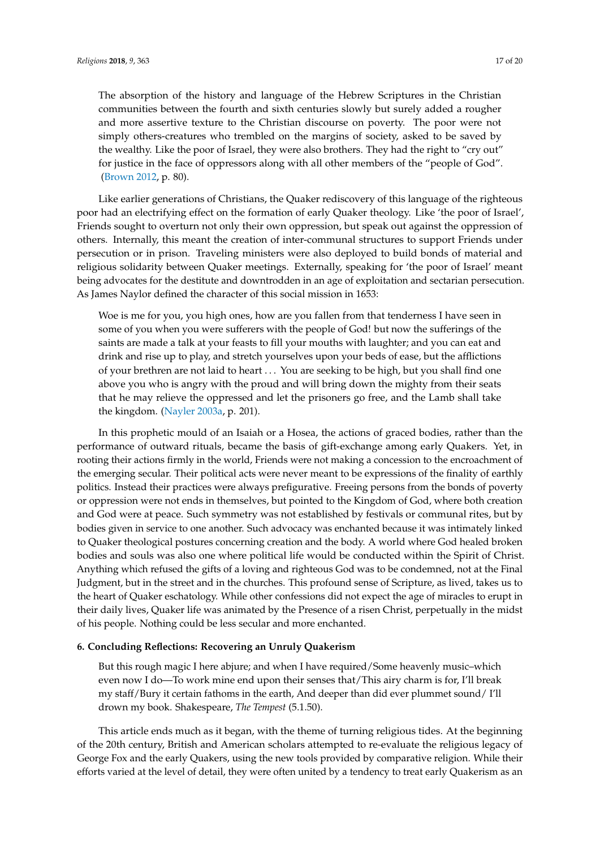The absorption of the history and language of the Hebrew Scriptures in the Christian communities between the fourth and sixth centuries slowly but surely added a rougher and more assertive texture to the Christian discourse on poverty. The poor were not simply others-creatures who trembled on the margins of society, asked to be saved by the wealthy. Like the poor of Israel, they were also brothers. They had the right to "cry out" for justice in the face of oppressors along with all other members of the "people of God". [\(Brown](#page-18-19) [2012,](#page-18-19) p. 80).

Like earlier generations of Christians, the Quaker rediscovery of this language of the righteous poor had an electrifying effect on the formation of early Quaker theology. Like 'the poor of Israel', Friends sought to overturn not only their own oppression, but speak out against the oppression of others. Internally, this meant the creation of inter-communal structures to support Friends under persecution or in prison. Traveling ministers were also deployed to build bonds of material and religious solidarity between Quaker meetings. Externally, speaking for 'the poor of Israel' meant being advocates for the destitute and downtrodden in an age of exploitation and sectarian persecution. As James Naylor defined the character of this social mission in 1653:

Woe is me for you, you high ones, how are you fallen from that tenderness I have seen in some of you when you were sufferers with the people of God! but now the sufferings of the saints are made a talk at your feasts to fill your mouths with laughter; and you can eat and drink and rise up to play, and stretch yourselves upon your beds of ease, but the afflictions of your brethren are not laid to heart . . . You are seeking to be high, but you shall find one above you who is angry with the proud and will bring down the mighty from their seats that he may relieve the oppressed and let the prisoners go free, and the Lamb shall take the kingdom. [\(Nayler](#page-19-12) [2003a,](#page-19-12) p. 201).

In this prophetic mould of an Isaiah or a Hosea, the actions of graced bodies, rather than the performance of outward rituals, became the basis of gift-exchange among early Quakers. Yet, in rooting their actions firmly in the world, Friends were not making a concession to the encroachment of the emerging secular. Their political acts were never meant to be expressions of the finality of earthly politics. Instead their practices were always prefigurative. Freeing persons from the bonds of poverty or oppression were not ends in themselves, but pointed to the Kingdom of God, where both creation and God were at peace. Such symmetry was not established by festivals or communal rites, but by bodies given in service to one another. Such advocacy was enchanted because it was intimately linked to Quaker theological postures concerning creation and the body. A world where God healed broken bodies and souls was also one where political life would be conducted within the Spirit of Christ. Anything which refused the gifts of a loving and righteous God was to be condemned, not at the Final Judgment, but in the street and in the churches. This profound sense of Scripture, as lived, takes us to the heart of Quaker eschatology. While other confessions did not expect the age of miracles to erupt in their daily lives, Quaker life was animated by the Presence of a risen Christ, perpetually in the midst of his people. Nothing could be less secular and more enchanted.

## **6. Concluding Reflections: Recovering an Unruly Quakerism**

But this rough magic I here abjure; and when I have required/Some heavenly music–which even now I do—To work mine end upon their senses that/This airy charm is for, I'll break my staff/Bury it certain fathoms in the earth, And deeper than did ever plummet sound/ I'll drown my book. Shakespeare, *The Tempest* (5.1.50).

This article ends much as it began, with the theme of turning religious tides. At the beginning of the 20th century, British and American scholars attempted to re-evaluate the religious legacy of George Fox and the early Quakers, using the new tools provided by comparative religion. While their efforts varied at the level of detail, they were often united by a tendency to treat early Quakerism as an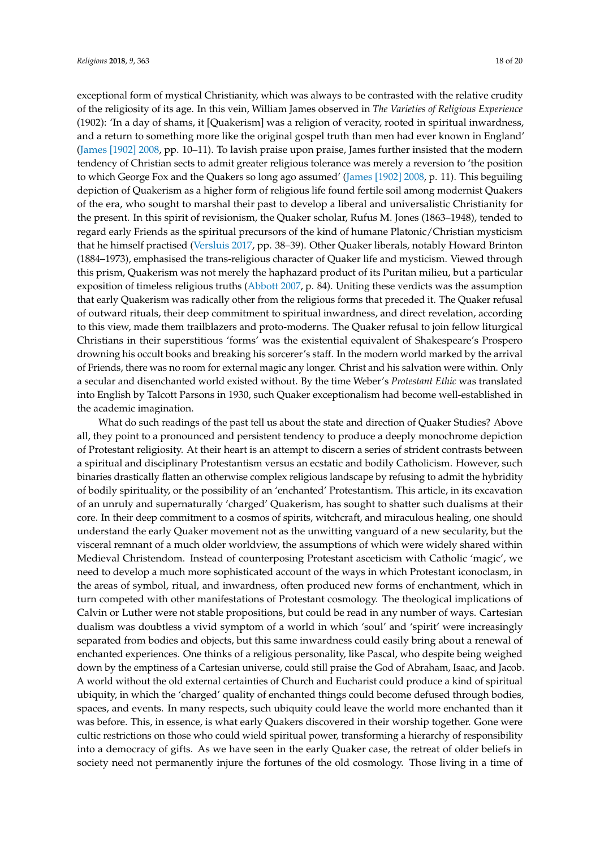exceptional form of mystical Christianity, which was always to be contrasted with the relative crudity of the religiosity of its age. In this vein, William James observed in *The Varieties of Religious Experience* (1902): 'In a day of shams, it [Quakerism] was a religion of veracity, rooted in spiritual inwardness, and a return to something more like the original gospel truth than men had ever known in England' [\(James](#page-19-20) [1902] [2008,](#page-19-20) pp. 10–11). To lavish praise upon praise, James further insisted that the modern tendency of Christian sects to admit greater religious tolerance was merely a reversion to 'the position to which George Fox and the Quakers so long ago assumed' [\(James](#page-19-20) [1902] [2008,](#page-19-20) p. 11). This beguiling depiction of Quakerism as a higher form of religious life found fertile soil among modernist Quakers of the era, who sought to marshal their past to develop a liberal and universalistic Christianity for the present. In this spirit of revisionism, the Quaker scholar, Rufus M. Jones (1863–1948), tended to regard early Friends as the spiritual precursors of the kind of humane Platonic/Christian mysticism that he himself practised [\(Versluis](#page-19-21) [2017,](#page-19-21) pp. 38–39). Other Quaker liberals, notably Howard Brinton (1884–1973), emphasised the trans-religious character of Quaker life and mysticism. Viewed through this prism, Quakerism was not merely the haphazard product of its Puritan milieu, but a particular exposition of timeless religious truths [\(Abbott](#page-18-20) [2007,](#page-18-20) p. 84). Uniting these verdicts was the assumption that early Quakerism was radically other from the religious forms that preceded it. The Quaker refusal of outward rituals, their deep commitment to spiritual inwardness, and direct revelation, according to this view, made them trailblazers and proto-moderns. The Quaker refusal to join fellow liturgical Christians in their superstitious 'forms' was the existential equivalent of Shakespeare's Prospero drowning his occult books and breaking his sorcerer's staff. In the modern world marked by the arrival of Friends, there was no room for external magic any longer. Christ and his salvation were within. Only a secular and disenchanted world existed without. By the time Weber's *Protestant Ethic* was translated into English by Talcott Parsons in 1930, such Quaker exceptionalism had become well-established in the academic imagination.

What do such readings of the past tell us about the state and direction of Quaker Studies? Above all, they point to a pronounced and persistent tendency to produce a deeply monochrome depiction of Protestant religiosity. At their heart is an attempt to discern a series of strident contrasts between a spiritual and disciplinary Protestantism versus an ecstatic and bodily Catholicism. However, such binaries drastically flatten an otherwise complex religious landscape by refusing to admit the hybridity of bodily spirituality, or the possibility of an 'enchanted' Protestantism. This article, in its excavation of an unruly and supernaturally 'charged' Quakerism, has sought to shatter such dualisms at their core. In their deep commitment to a cosmos of spirits, witchcraft, and miraculous healing, one should understand the early Quaker movement not as the unwitting vanguard of a new secularity, but the visceral remnant of a much older worldview, the assumptions of which were widely shared within Medieval Christendom. Instead of counterposing Protestant asceticism with Catholic 'magic', we need to develop a much more sophisticated account of the ways in which Protestant iconoclasm, in the areas of symbol, ritual, and inwardness, often produced new forms of enchantment, which in turn competed with other manifestations of Protestant cosmology. The theological implications of Calvin or Luther were not stable propositions, but could be read in any number of ways. Cartesian dualism was doubtless a vivid symptom of a world in which 'soul' and 'spirit' were increasingly separated from bodies and objects, but this same inwardness could easily bring about a renewal of enchanted experiences. One thinks of a religious personality, like Pascal, who despite being weighed down by the emptiness of a Cartesian universe, could still praise the God of Abraham, Isaac, and Jacob. A world without the old external certainties of Church and Eucharist could produce a kind of spiritual ubiquity, in which the 'charged' quality of enchanted things could become defused through bodies, spaces, and events. In many respects, such ubiquity could leave the world more enchanted than it was before. This, in essence, is what early Quakers discovered in their worship together. Gone were cultic restrictions on those who could wield spiritual power, transforming a hierarchy of responsibility into a democracy of gifts. As we have seen in the early Quaker case, the retreat of older beliefs in society need not permanently injure the fortunes of the old cosmology. Those living in a time of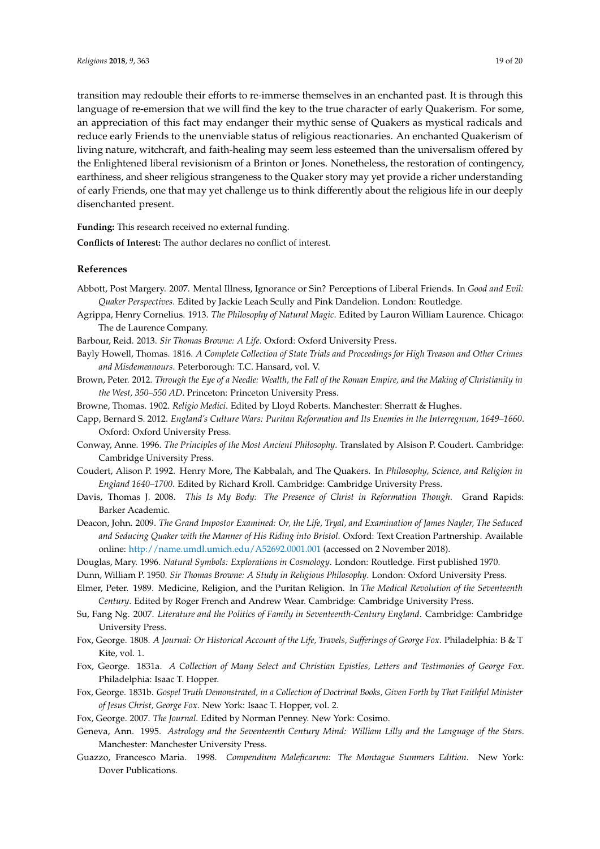transition may redouble their efforts to re-immerse themselves in an enchanted past. It is through this language of re-emersion that we will find the key to the true character of early Quakerism. For some, an appreciation of this fact may endanger their mythic sense of Quakers as mystical radicals and reduce early Friends to the unenviable status of religious reactionaries. An enchanted Quakerism of living nature, witchcraft, and faith-healing may seem less esteemed than the universalism offered by the Enlightened liberal revisionism of a Brinton or Jones. Nonetheless, the restoration of contingency,

earthiness, and sheer religious strangeness to the Quaker story may yet provide a richer understanding of early Friends, one that may yet challenge us to think differently about the religious life in our deeply disenchanted present.

**Funding:** This research received no external funding.

**Conflicts of Interest:** The author declares no conflict of interest.

## **References**

- <span id="page-18-20"></span>Abbott, Post Margery. 2007. Mental Illness, Ignorance or Sin? Perceptions of Liberal Friends. In *Good and Evil: Quaker Perspectives*. Edited by Jackie Leach Scully and Pink Dandelion. London: Routledge.
- <span id="page-18-8"></span>Agrippa, Henry Cornelius. 1913. *The Philosophy of Natural Magic*. Edited by Lauron William Laurence. Chicago: The de Laurence Company.

<span id="page-18-1"></span>Barbour, Reid. 2013. *Sir Thomas Browne: A Life*. Oxford: Oxford University Press.

- <span id="page-18-12"></span>Bayly Howell, Thomas. 1816. *A Complete Collection of State Trials and Proceedings for High Treason and Other Crimes and Misdemeanours*. Peterborough: T.C. Hansard, vol. V.
- <span id="page-18-19"></span>Brown, Peter. 2012. *Through the Eye of a Needle: Wealth, the Fall of the Roman Empire, and the Making of Christianity in the West, 350–550 AD*. Princeton: Princeton University Press.
- <span id="page-18-0"></span>Browne, Thomas. 1902. *Religio Medici*. Edited by Lloyd Roberts. Manchester: Sherratt & Hughes.
- <span id="page-18-13"></span>Capp, Bernard S. 2012. *England's Culture Wars: Puritan Reformation and Its Enemies in the Interregnum, 1649–1660*. Oxford: Oxford University Press.
- <span id="page-18-16"></span>Conway, Anne. 1996. *The Principles of the Most Ancient Philosophy*. Translated by Alsison P. Coudert. Cambridge: Cambridge University Press.
- <span id="page-18-11"></span>Coudert, Alison P. 1992. Henry More, The Kabbalah, and The Quakers. In *Philosophy, Science, and Religion in England 1640–1700*. Edited by Richard Kroll. Cambridge: Cambridge University Press.
- <span id="page-18-6"></span>Davis, Thomas J. 2008. *This Is My Body: The Presence of Christ in Reformation Though*. Grand Rapids: Barker Academic.
- <span id="page-18-15"></span>Deacon, John. 2009. *The Grand Impostor Examined: Or, the Life, Tryal, and Examination of James Nayler, The Seduced and Seducing Quaker with the Manner of His Riding into Bristol*. Oxford: Text Creation Partnership. Available online: <http://name.umdl.umich.edu/A52692.0001.001> (accessed on 2 November 2018).
- <span id="page-18-4"></span>Douglas, Mary. 1996. *Natural Symbols: Explorations in Cosmology*. London: Routledge. First published 1970.

<span id="page-18-3"></span>Dunn, William P. 1950. *Sir Thomas Browne: A Study in Religious Philosophy*. London: Oxford University Press.

- <span id="page-18-10"></span>Elmer, Peter. 1989. Medicine, Religion, and the Puritan Religion. In *The Medical Revolution of the Seventeenth Century*. Edited by Roger French and Andrew Wear. Cambridge: Cambridge University Press.
- <span id="page-18-18"></span>Su, Fang Ng. 2007. *Literature and the Politics of Family in Seventeenth-Century England*. Cambridge: Cambridge University Press.
- <span id="page-18-14"></span>Fox, George. 1808. *A Journal: Or Historical Account of the Life, Travels, Sufferings of George Fox*. Philadelphia: B & T Kite, vol. 1.
- <span id="page-18-17"></span>Fox, George. 1831a. *A Collection of Many Select and Christian Epistles, Letters and Testimonies of George Fox*. Philadelphia: Isaac T. Hopper.
- <span id="page-18-5"></span>Fox, George. 1831b. *Gospel Truth Demonstrated, in a Collection of Doctrinal Books, Given Forth by That Faithful Minister of Jesus Christ, George Fox*. New York: Isaac T. Hopper, vol. 2.
- <span id="page-18-7"></span>Fox, George. 2007. *The Journal*. Edited by Norman Penney. New York: Cosimo.
- <span id="page-18-2"></span>Geneva, Ann. 1995. *Astrology and the Seventeenth Century Mind: William Lilly and the Language of the Stars*. Manchester: Manchester University Press.
- <span id="page-18-9"></span>Guazzo, Francesco Maria. 1998. *Compendium Maleficarum: The Montague Summers Edition*. New York: Dover Publications.